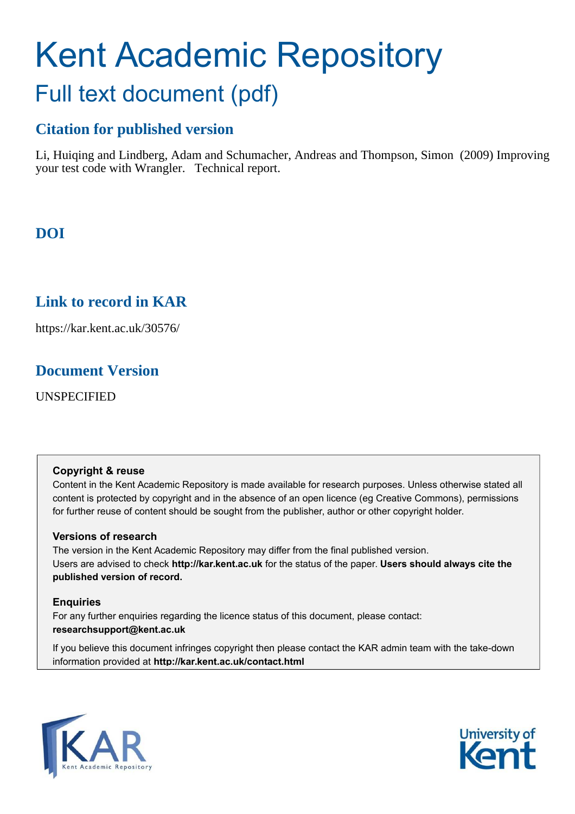# Kent Academic Repository Full text document (pdf)

# **Citation for published version**

Li, Huiqing and Lindberg, Adam and Schumacher, Andreas and Thompson, Simon (2009) Improving your test code with Wrangler. Technical report.

# **DOI**

# **Link to record in KAR**

https://kar.kent.ac.uk/30576/

# **Document Version**

UNSPECIFIED

## **Copyright & reuse**

Content in the Kent Academic Repository is made available for research purposes. Unless otherwise stated all content is protected by copyright and in the absence of an open licence (eg Creative Commons), permissions for further reuse of content should be sought from the publisher, author or other copyright holder.

## **Versions of research**

The version in the Kent Academic Repository may differ from the final published version. Users are advised to check **http://kar.kent.ac.uk** for the status of the paper. **Users should always cite the published version of record.**

## <span id="page-0-0"></span>**Enquiries**

<span id="page-0-1"></span>For any further enquiries regarding the licence status of this document, please contact: **researchsupport@kent.ac.uk**

If you believe this document infringes copyright then please contact the KAR admin team with the take-down information provided at **http://kar.kent.ac.uk/contact.html**



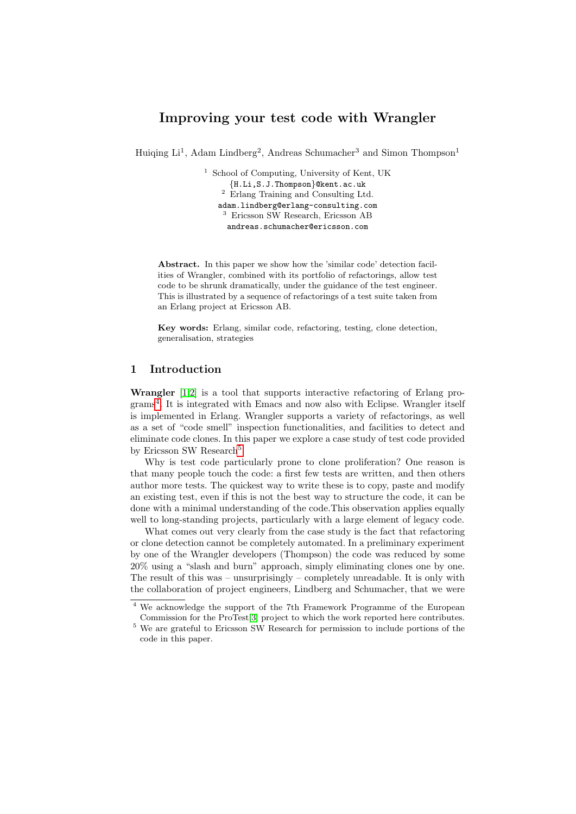## Improving your test code with Wrangler

Huiqing Li<sup>1</sup>, Adam Lindberg<sup>2</sup>, Andreas Schumacher<sup>3</sup> and Simon Thompson<sup>1</sup>

<sup>1</sup> School of Computing, University of Kent, UK {H.Li,S.J.Thompson}@kent.ac.uk  $2$  Erlang Training and Consulting Ltd. adam.lindberg@erlang-consulting.com <sup>3</sup> Ericsson SW Research, Ericsson AB andreas.schumacher@ericsson.com

<span id="page-1-0"></span>Abstract. In this paper we show how the 'similar code' detection facilities of Wrangler, combined with its portfolio of refactorings, allow test code to be shrunk dramatically, under the guidance of the test engineer. This is illustrated by a sequence of refactorings of a test suite taken from an Erlang project at Ericsson AB.

Key words: Erlang, similar code, refactoring, testing, clone detection, generalisation, strategies

#### 1 Introduction

Wrangler [\[1](#page-12-0)[,2\]](#page-12-1) is a tool that supports interactive refactoring of Erlang programs[4](#page-0-0) . It is integrated with Emacs and now also with Eclipse. Wrangler itself is implemented in Erlang. Wrangler supports a variety of refactorings, as well as a set of "code smell" inspection functionalities, and facilities to detect and eliminate code clones. In this paper we explore a case study of test code provided by Ericsson SW Research<sup>[5](#page-0-1)</sup>

Why is test code particularly prone to clone proliferation? One reason is that many people touch the code: a first few tests are written, and then others author more tests. The quickest way to write these is to copy, paste and modify an existing test, even if this is not the best way to structure the code, it can be done with a minimal understanding of the code.This observation applies equally well to long-standing projects, particularly with a large element of legacy code.

What comes out very clearly from the case study is the fact that refactoring or clone detection cannot be completely automated. In a preliminary experiment by one of the Wrangler developers (Thompson) the code was reduced by some 20% using a "slash and burn" approach, simply eliminating clones one by one. The result of this was – unsurprisingly – completely unreadable. It is only with the collaboration of project engineers, Lindberg and Schumacher, that we were

<sup>4</sup> We acknowledge the support of the 7th Framework Programme of the European Commission for the ProTest[\[3\]](#page-12-2) project to which the work reported here contributes.

<sup>5</sup> We are grateful to Ericsson SW Research for permission to include portions of the code in this paper.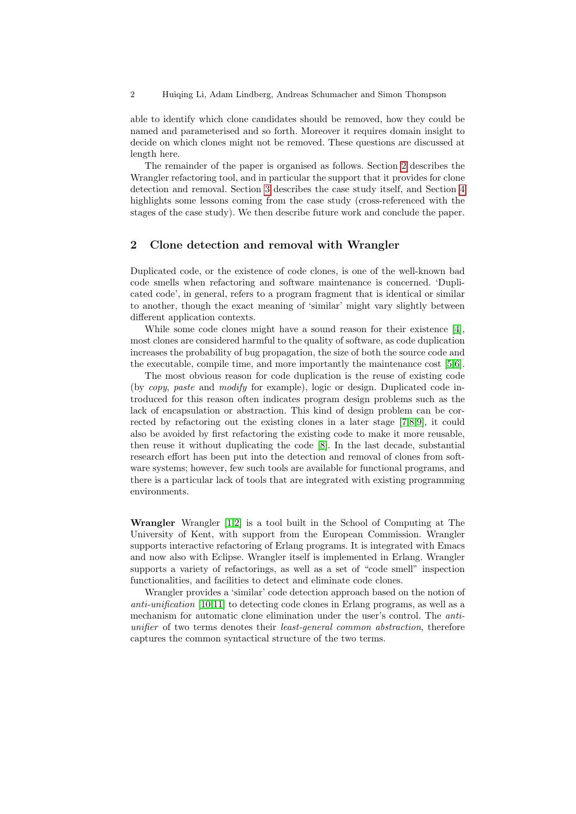able to identify which clone candidates should be removed, how they could be named and parameterised and so forth. Moreover it requires domain insight to decide on which clones might not be removed. These questions are discussed at length here.

The remainder of the paper is organised as follows. Section [2](#page-1-0) describes the Wrangler refactoring tool, and in particular the support that it provides for clone detection and removal. Section [3](#page-2-0) describes the case study itself, and Section [4](#page-10-0) highlights some lessons coming from the case study (cross-referenced with the stages of the case study). We then describe future work and conclude the paper.

#### 2 Clone detection and removal with Wrangler

Duplicated code, or the existence of code clones, is one of the well-known bad code smells when refactoring and software maintenance is concerned. 'Duplicated code', in general, refers to a program fragment that is identical or similar to another, though the exact meaning of 'similar' might vary slightly between different application contexts.

While some code clones might have a sound reason for their existence [\[4\]](#page-12-3), most clones are considered harmful to the quality of software, as code duplication increases the probability of bug propagation, the size of both the source code and the executable, compile time, and more importantly the maintenance cost [\[5](#page-12-4)[,6\]](#page-12-5).

The most obvious reason for code duplication is the reuse of existing code (by copy, paste and modify for example), logic or design. Duplicated code introduced for this reason often indicates program design problems such as the lack of encapsulation or abstraction. This kind of design problem can be corrected by refactoring out the existing clones in a later stage [\[7](#page-12-6)[,8](#page-12-7)[,9\]](#page-12-8), it could also be avoided by first refactoring the existing code to make it more reusable, then reuse it without duplicating the code [\[8\]](#page-12-7). In the last decade, substantial research effort has been put into the detection and removal of clones from software systems; however, few such tools are available for functional programs, and there is a particular lack of tools that are integrated with existing programming environments.

<span id="page-2-0"></span>Wrangler Wrangler [\[1](#page-12-0)[,2\]](#page-12-1) is a tool built in the School of Computing at The University of Kent, with support from the European Commission. Wrangler supports interactive refactoring of Erlang programs. It is integrated with Emacs and now also with Eclipse. Wrangler itself is implemented in Erlang. Wrangler supports a variety of refactorings, as well as a set of "code smell" inspection functionalities, and facilities to detect and eliminate code clones.

Wrangler provides a 'similar' code detection approach based on the notion of anti-unification [\[10](#page-12-9)[,11\]](#page-12-10) to detecting code clones in Erlang programs, as well as a mechanism for automatic clone elimination under the user's control. The antiunifier of two terms denotes their least-general common abstraction, therefore captures the common syntactical structure of the two terms.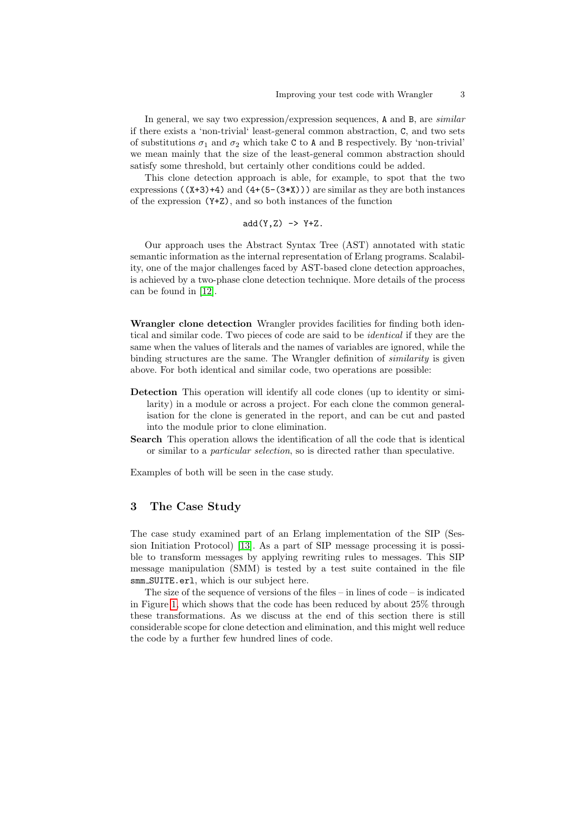In general, we say two expression/expression sequences, A and B, are *similar* if there exists a 'non-trivial' least-general common abstraction, C, and two sets of substitutions  $\sigma_1$  and  $\sigma_2$  which take C to A and B respectively. By 'non-trivial' we mean mainly that the size of the least-general common abstraction should satisfy some threshold, but certainly other conditions could be added.

This clone detection approach is able, for example, to spot that the two expressions  $((X+3)+4)$  and  $(4+(5-(3*X)))$  are similar as they are both instances of the expression (Y+Z), and so both instances of the function

<span id="page-3-0"></span>
$$
add(Y,Z) \Rightarrow Y+Z.
$$

Our approach uses the Abstract Syntax Tree (AST) annotated with static semantic information as the internal representation of Erlang programs. Scalability, one of the major challenges faced by AST-based clone detection approaches, is achieved by a two-phase clone detection technique. More details of the process can be found in [\[12\]](#page-12-11).

Wrangler clone detection Wrangler provides facilities for finding both identical and similar code. Two pieces of code are said to be identical if they are the same when the values of literals and the names of variables are ignored, while the binding structures are the same. The Wrangler definition of *similarity* is given above. For both identical and similar code, two operations are possible:

- Detection This operation will identify all code clones (up to identity or similarity) in a module or across a project. For each clone the common generalisation for the clone is generated in the report, and can be cut and pasted into the module prior to clone elimination.
- Search This operation allows the identification of all the code that is identical or similar to a particular selection, so is directed rather than speculative.

Examples of both will be seen in the case study.

#### 3 The Case Study

The case study examined part of an Erlang implementation of the SIP (Session Initiation Protocol) [\[13\]](#page-12-12). As a part of SIP message processing it is possible to transform messages by applying rewriting rules to messages. This SIP message manipulation (SMM) is tested by a test suite contained in the file smm SUITE.erl, which is our subject here.

The size of the sequence of versions of the files – in lines of code – is indicated in Figure [1,](#page-3-0) which shows that the code has been reduced by about 25% through these transformations. As we discuss at the end of this section there is still considerable scope for clone detection and elimination, and this might well reduce the code by a further few hundred lines of code.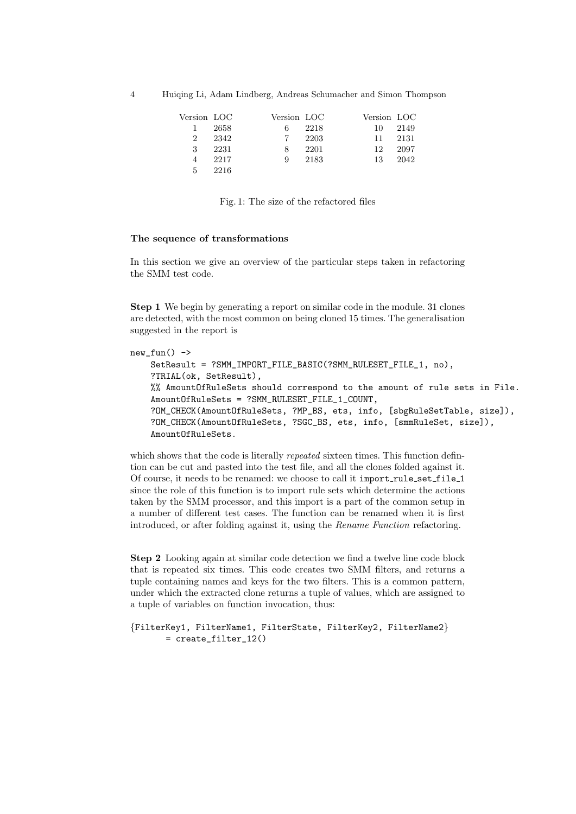| Version LOC    |      | Version LOC |      | Version LOC |      |
|----------------|------|-------------|------|-------------|------|
| 1              | 2658 |             | 2218 | 10          | 2149 |
| $\overline{2}$ | 2342 |             | 2203 | 11          | 2131 |
| 3              | 2231 | 8           | 2201 | 12          | 2097 |
| 4              | 2217 | 9           | 2183 | 13          | 2042 |
| 5              | 2216 |             |      |             |      |

Fig. 1: The size of the refactored files

#### The sequence of transformations

In this section we give an overview of the particular steps taken in refactoring the SMM test code.

Step 1 We begin by generating a report on similar code in the module. 31 clones are detected, with the most common on being cloned 15 times. The generalisation suggested in the report is

```
new_tun() \rightarrowSetResult = ?SMM_IMPORT_FILE_BASIC(?SMM_RULESET_FILE_1, no),
    ?TRIAL(ok, SetResult),
    %% AmountOfRuleSets should correspond to the amount of rule sets in File.
    AmountOfRuleSets = ?SMM_RULESET_FILE_1_COUNT,
    ?OM_CHECK(AmountOfRuleSets, ?MP_BS, ets, info, [sbgRuleSetTable, size]),
    ?OM_CHECK(AmountOfRuleSets, ?SGC_BS, ets, info, [smmRuleSet, size]),
    AmountOfRuleSets.
```
which shows that the code is literally *repeated* sixteen times. This function defintion can be cut and pasted into the test file, and all the clones folded against it. Of course, it needs to be renamed: we choose to call it import\_rule\_set\_file\_1 since the role of this function is to import rule sets which determine the actions taken by the SMM processor, and this import is a part of the common setup in a number of different test cases. The function can be renamed when it is first introduced, or after folding against it, using the Rename Function refactoring.

Step 2 Looking again at similar code detection we find a twelve line code block that is repeated six times. This code creates two SMM filters, and returns a tuple containing names and keys for the two filters. This is a common pattern, under which the extracted clone returns a tuple of values, which are assigned to a tuple of variables on function invocation, thus:

```
{FilterKey1, FilterName1, FilterState, FilterKey2, FilterName2}
      = create_filter_12()
```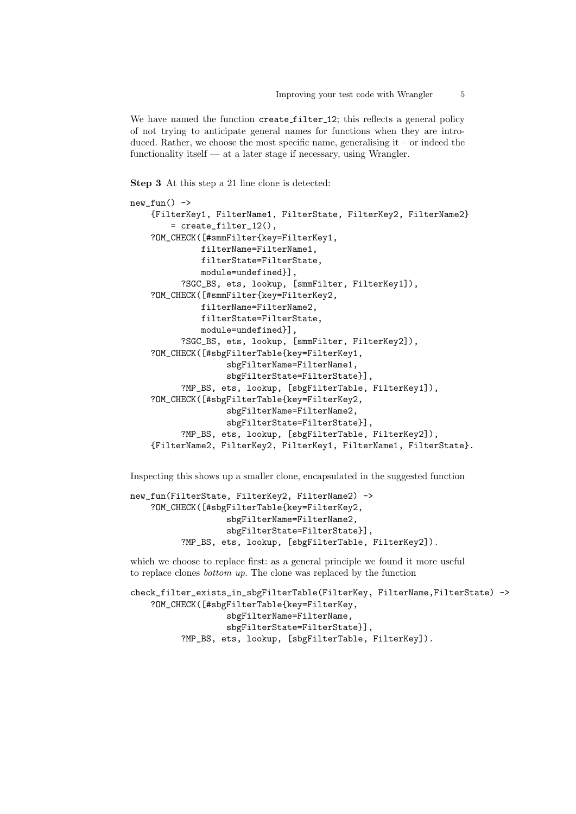We have named the function create\_filter\_12; this reflects a general policy of not trying to anticipate general names for functions when they are introduced. Rather, we choose the most specific name, generalising  $it - or$  indeed the functionality itself — at a later stage if necessary, using Wrangler.

Step 3 At this step a 21 line clone is detected:

```
new\_fun() ->
    {FilterKey1, FilterName1, FilterState, FilterKey2, FilterName2}
        = create_filter_12(),
    ?OM_CHECK([#smmFilter{key=FilterKey1,
              filterName=FilterName1,
              filterState=FilterState,
              module=undefined}],
          ?SGC_BS, ets, lookup, [smmFilter, FilterKey1]),
    ?OM_CHECK([#smmFilter{key=FilterKey2,
              filterName=FilterName2,
              filterState=FilterState,
              module=undefined}],
          ?SGC_BS, ets, lookup, [smmFilter, FilterKey2]),
    ?OM_CHECK([#sbgFilterTable{key=FilterKey1,
                   sbgFilterName=FilterName1,
                   sbgFilterState=FilterState}],
          ?MP_BS, ets, lookup, [sbgFilterTable, FilterKey1]),
    ?OM_CHECK([#sbgFilterTable{key=FilterKey2,
                   sbgFilterName=FilterName2,
                   sbgFilterState=FilterState}],
          ?MP_BS, ets, lookup, [sbgFilterTable, FilterKey2]),
    {FilterName2, FilterKey2, FilterKey1, FilterName1, FilterState}.
```
Inspecting this shows up a smaller clone, encapsulated in the suggested function

```
new_fun(FilterState, FilterKey2, FilterName2) ->
    ?OM_CHECK([#sbgFilterTable{key=FilterKey2,
                   sbgFilterName=FilterName2,
                   sbgFilterState=FilterState}],
          ?MP_BS, ets, lookup, [sbgFilterTable, FilterKey2]).
```
which we choose to replace first: as a general principle we found it more useful to replace clones bottom up. The clone was replaced by the function

```
check_filter_exists_in_sbgFilterTable(FilterKey, FilterName,FilterState) ->
   ?OM_CHECK([#sbgFilterTable{key=FilterKey,
                   sbgFilterName=FilterName,
                   sbgFilterState=FilterState}],
          ?MP_BS, ets, lookup, [sbgFilterTable, FilterKey]).
```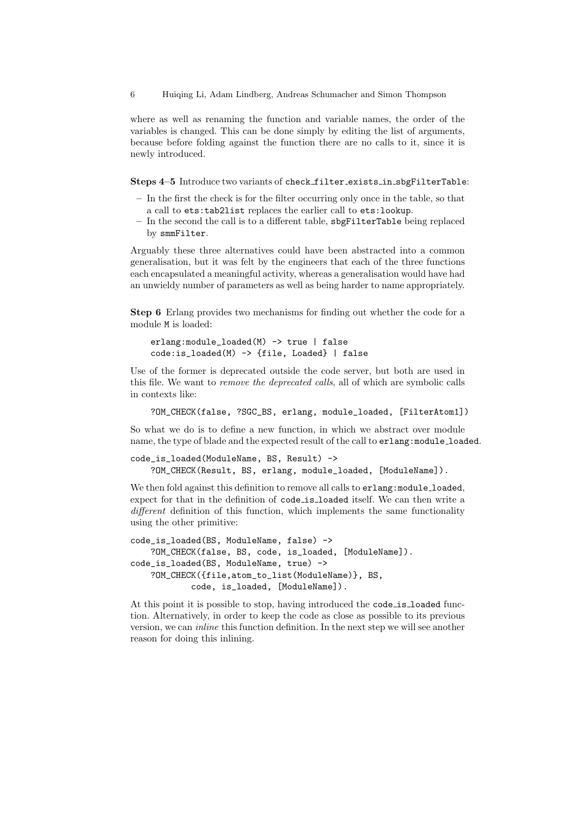where as well as renaming the function and variable names, the order of the variables is changed. This can be done simply by editing the list of arguments, because before folding against the function there are no calls to it, since it is newly introduced.

Steps 4–5 Introduce two variants of check filter exists in sbgFilterTable:

- In the first the check is for the filter occurring only once in the table, so that a call to ets:tab2list replaces the earlier call to ets:lookup.
- In the second the call is to a different table, sbgFilterTable being replaced by smmFilter.

Arguably these three alternatives could have been abstracted into a common generalisation, but it was felt by the engineers that each of the three functions each encapsulated a meaningful activity, whereas a generalisation would have had an unwieldy number of parameters as well as being harder to name appropriately.

Step 6 Erlang provides two mechanisms for finding out whether the code for a module M is loaded:

```
erlang:module_loaded(M) -> true | false
code:is_loaded(M) -> {file, Loaded} | false
```
Use of the former is deprecated outside the code server, but both are used in this file. We want to remove the deprecated calls, all of which are symbolic calls in contexts like:

?OM\_CHECK(false, ?SGC\_BS, erlang, module\_loaded, [FilterAtom1])

So what we do is to define a new function, in which we abstract over module name, the type of blade and the expected result of the call to erlang: module\_loaded.

```
code_is_loaded(ModuleName, BS, Result) ->
   ?OM_CHECK(Result, BS, erlang, module_loaded, [ModuleName]).
```
We then fold against this definition to remove all calls to  $erlang:module\_loaded$ , expect for that in the definition of code is loaded itself. We can then write a different definition of this function, which implements the same functionality using the other primitive:

```
code_is_loaded(BS, ModuleName, false) ->
   ?OM_CHECK(false, BS, code, is_loaded, [ModuleName]).
code_is_loaded(BS, ModuleName, true) ->
   ?OM_CHECK({file,atom_to_list(ModuleName)}, BS,
           code, is_loaded, [ModuleName]).
```
At this point it is possible to stop, having introduced the code is loaded function. Alternatively, in order to keep the code as close as possible to its previous version, we can inline this function definition. In the next step we will see another reason for doing this inlining.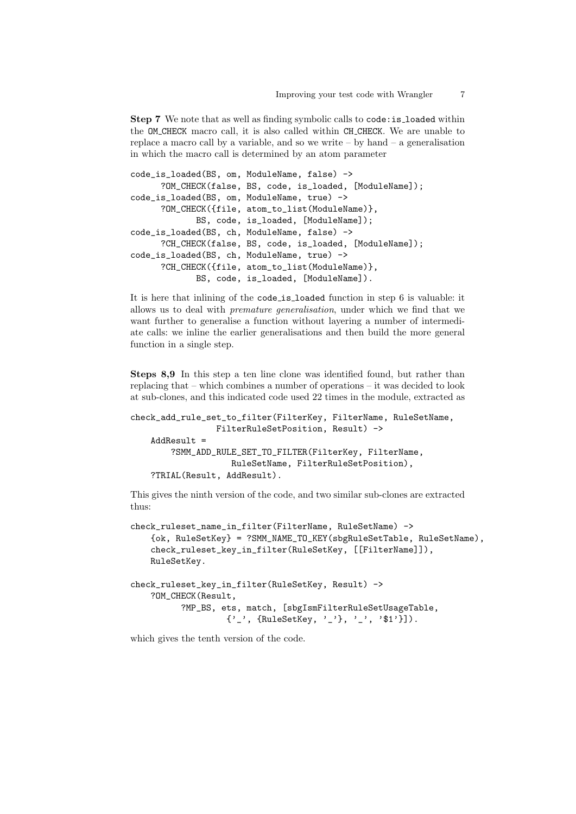Step 7 We note that as well as finding symbolic calls to code: is loaded within the OM CHECK macro call, it is also called within CH CHECK. We are unable to replace a macro call by a variable, and so we write  $-$  by hand  $-$  a generalisation in which the macro call is determined by an atom parameter

```
code_is_loaded(BS, om, ModuleName, false) ->
     ?OM_CHECK(false, BS, code, is_loaded, [ModuleName]);
code_is_loaded(BS, om, ModuleName, true) ->
     ?OM CHECK({file, atom to list(ModuleName)},
            BS, code, is_loaded, [ModuleName]);
code_is_loaded(BS, ch, ModuleName, false) ->
     ?CH_CHECK(false, BS, code, is_loaded, [ModuleName]);
code_is_loaded(BS, ch, ModuleName, true) ->
     ?CH_CHECK({file, atom_to_list(ModuleName)},
            BS, code, is_loaded, [ModuleName]).
```
It is here that inlining of the code is loaded function in step 6 is valuable: it allows us to deal with premature generalisation, under which we find that we want further to generalise a function without layering a number of intermediate calls: we inline the earlier generalisations and then build the more general function in a single step.

Steps 8,9 In this step a ten line clone was identified found, but rather than replacing that – which combines a number of operations – it was decided to look at sub-clones, and this indicated code used 22 times in the module, extracted as

```
check_add_rule_set_to_filter(FilterKey, FilterName, RuleSetName,
                 FilterRuleSetPosition, Result) ->
   AddResult =?SMM_ADD_RULE_SET_TO_FILTER(FilterKey, FilterName,
                   RuleSetName, FilterRuleSetPosition),
   ?TRIAL(Result, AddResult).
```
This gives the ninth version of the code, and two similar sub-clones are extracted thus:

```
check_ruleset_name_in_filter(FilterName, RuleSetName) ->
   {ok, RuleSetKey} = ?SMM_NAME_TO_KEY(sbgRuleSetTable, RuleSetName),
   check_ruleset_key_in_filter(RuleSetKey, [[FilterName]]),
   RuleSetKey.
check_ruleset_key_in_filter(RuleSetKey, Result) ->
   ?OM_CHECK(Result,
          ?MP_BS, ets, match, [sbgIsmFilterRuleSetUsageTable,
                   {'_', {RuleSetKey, '_'}, '_', '$1'}]).
```
which gives the tenth version of the code.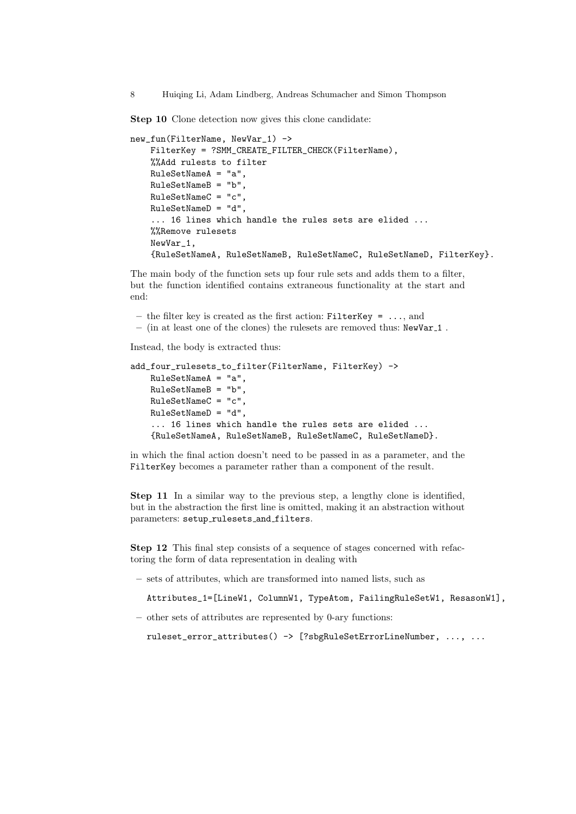Step 10 Clone detection now gives this clone candidate:

```
new_fun(FilterName, NewVar_1) ->
    FilterKey = ?SMM_CREATE_FILTER_CHECK(FilterName),
    %%Add rulests to filter
    RuleSetNameA = "a",
    RuleSetNameB = "b",
    RuleSetNameC = "c",
    RuleSetNameD = "d",
    ... 16 lines which handle the rules sets are elided ...
    %%Remove rulesets
    NewVar_1,
    {RuleSetNameA, RuleSetNameB, RuleSetNameC, RuleSetNameD, FilterKey}.
```
The main body of the function sets up four rule sets and adds them to a filter, but the function identified contains extraneous functionality at the start and end:

– the filter key is created as the first action: FilterKey = ..., and – (in at least one of the clones) the rulesets are removed thus:  $\text{NewVar}_1$ .

Instead, the body is extracted thus:

```
add_four_rulesets_to_filter(FilterName, FilterKey) ->
   RuleSetNameA = "a",
   RuleSetNameB = "b",
   RuleSetNameC = "c",
   RuleSetNameD = "d",
    ... 16 lines which handle the rules sets are elided ...
   {RuleSetNameA, RuleSetNameB, RuleSetNameC, RuleSetNameD}.
```
in which the final action doesn't need to be passed in as a parameter, and the FilterKey becomes a parameter rather than a component of the result.

Step 11 In a similar way to the previous step, a lengthy clone is identified, but in the abstraction the first line is omitted, making it an abstraction without parameters: setup\_rulesets\_and\_filters.

Step 12 This final step consists of a sequence of stages concerned with refactoring the form of data representation in dealing with

– sets of attributes, which are transformed into named lists, such as

Attributes\_1=[LineW1, ColumnW1, TypeAtom, FailingRuleSetW1, ResasonW1],

– other sets of attributes are represented by 0-ary functions:

```
ruleset_error_attributes() -> [?sbgRuleSetErrorLineNumber, ..., ...
```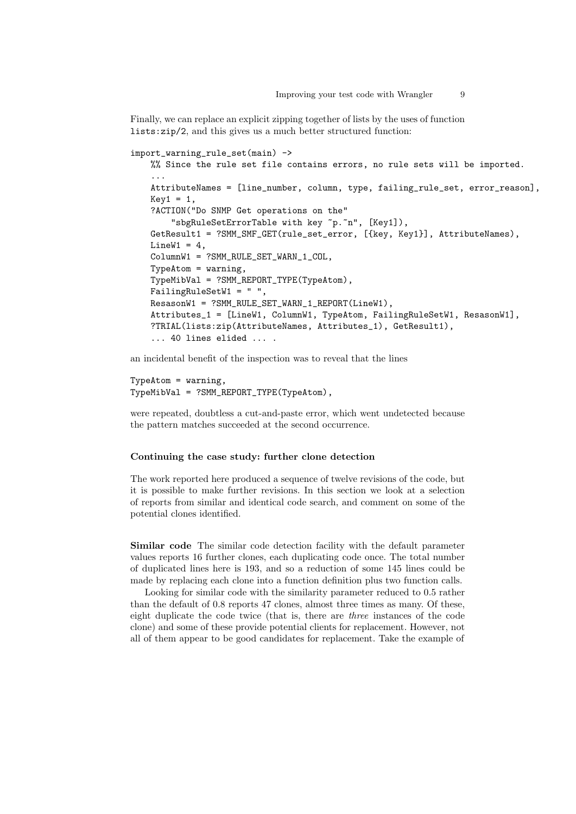Finally, we can replace an explicit zipping together of lists by the uses of function lists:zip/2, and this gives us a much better structured function:

```
import_warning_rule_set(main) ->
   %% Since the rule set file contains errors, no rule sets will be imported.
    ...
   AttributeNames = [line_number, column, type, failing_rule_set, error_reason],
   Key1 = 1,
   ?ACTION("Do SNMP Get operations on the"
        "sbgRuleSetErrorTable with key ~p.~n", [Key1]),
   GetResult1 = ?SMM_SMF_GET(rule_set_error, [{key, Key1}], AttributeNames),
   LineW1 = 4,
   ColumnW1 = ?SMM_RULE_SET_WARN_1_COL,
   TypeAtom = warning,
   TypeMibVal = ?SMM_REPORT_TYPE(TypeAtom),
   FailingRuleSetW1 = " ",
   ResasonW1 = ?SMM_RULE_SET_WARN_1_REPORT(LineW1),
   Attributes_1 = [LineW1, ColumnW1, TypeAtom, FailingRuleSetW1, ResasonW1],
   ?TRIAL(lists:zip(AttributeNames, Attributes_1), GetResult1),
    ... 40 lines elided ... .
```
an incidental benefit of the inspection was to reveal that the lines

```
TypeAtom = warning,
TypeMibVal = ?SMM_REPORT_TYPE(TypeAtom),
```
were repeated, doubtless a cut-and-paste error, which went undetected because the pattern matches succeeded at the second occurrence.

#### Continuing the case study: further clone detection

The work reported here produced a sequence of twelve revisions of the code, but it is possible to make further revisions. In this section we look at a selection of reports from similar and identical code search, and comment on some of the potential clones identified.

Similar code The similar code detection facility with the default parameter values reports 16 further clones, each duplicating code once. The total number of duplicated lines here is 193, and so a reduction of some 145 lines could be made by replacing each clone into a function definition plus two function calls.

Looking for similar code with the similarity parameter reduced to 0.5 rather than the default of 0.8 reports 47 clones, almost three times as many. Of these, eight duplicate the code twice (that is, there are three instances of the code clone) and some of these provide potential clients for replacement. However, not all of them appear to be good candidates for replacement. Take the example of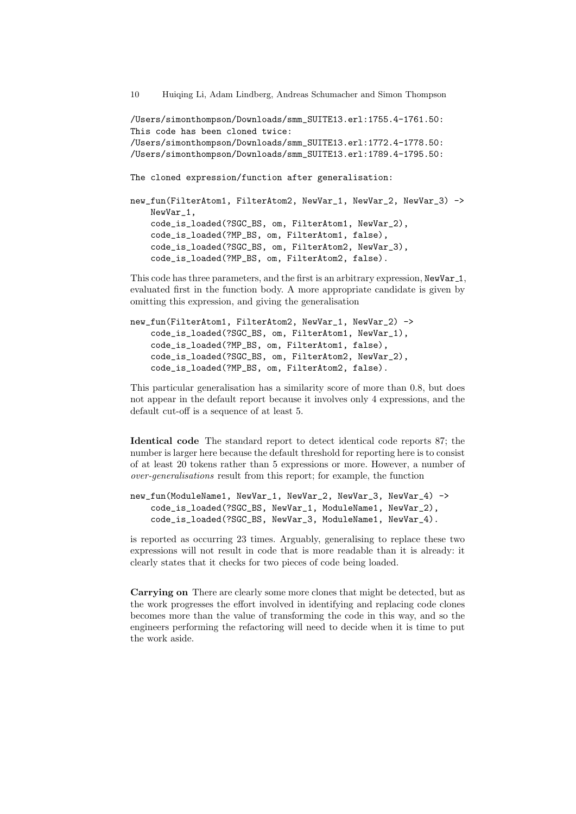<span id="page-10-0"></span>/Users/simonthompson/Downloads/smm\_SUITE13.erl:1755.4-1761.50: This code has been cloned twice: /Users/simonthompson/Downloads/smm\_SUITE13.erl:1772.4-1778.50: /Users/simonthompson/Downloads/smm\_SUITE13.erl:1789.4-1795.50:

The cloned expression/function after generalisation:

```
new_fun(FilterAtom1, FilterAtom2, NewVar_1, NewVar_2, NewVar_3) ->
    NewVar_1,
    code_is_loaded(?SGC_BS, om, FilterAtom1, NewVar_2),
    code_is_loaded(?MP_BS, om, FilterAtom1, false),
    code_is_loaded(?SGC_BS, om, FilterAtom2, NewVar_3),
    code_is_loaded(?MP_BS, om, FilterAtom2, false).
```
This code has three parameters, and the first is an arbitrary expression, NewVar 1, evaluated first in the function body. A more appropriate candidate is given by omitting this expression, and giving the generalisation

```
new_fun(FilterAtom1, FilterAtom2, NewVar_1, NewVar_2) ->
    code_is_loaded(?SGC_BS, om, FilterAtom1, NewVar_1),
    code_is_loaded(?MP_BS, om, FilterAtom1, false),
    code_is_loaded(?SGC_BS, om, FilterAtom2, NewVar_2),
    code_is_loaded(?MP_BS, om, FilterAtom2, false).
```
This particular generalisation has a similarity score of more than 0.8, but does not appear in the default report because it involves only 4 expressions, and the default cut-off is a sequence of at least 5.

Identical code The standard report to detect identical code reports 87; the number is larger here because the default threshold for reporting here is to consist of at least 20 tokens rather than 5 expressions or more. However, a number of over-generalisations result from this report; for example, the function

```
new_fun(ModuleName1, NewVar_1, NewVar_2, NewVar_3, NewVar_4) ->
    code_is_loaded(?SGC_BS, NewVar_1, ModuleName1, NewVar_2),
    code_is_loaded(?SGC_BS, NewVar_3, ModuleName1, NewVar_4).
```
is reported as occurring 23 times. Arguably, generalising to replace these two expressions will not result in code that is more readable than it is already: it clearly states that it checks for two pieces of code being loaded.

Carrying on There are clearly some more clones that might be detected, but as the work progresses the effort involved in identifying and replacing code clones becomes more than the value of transforming the code in this way, and so the engineers performing the refactoring will need to decide when it is time to put the work aside.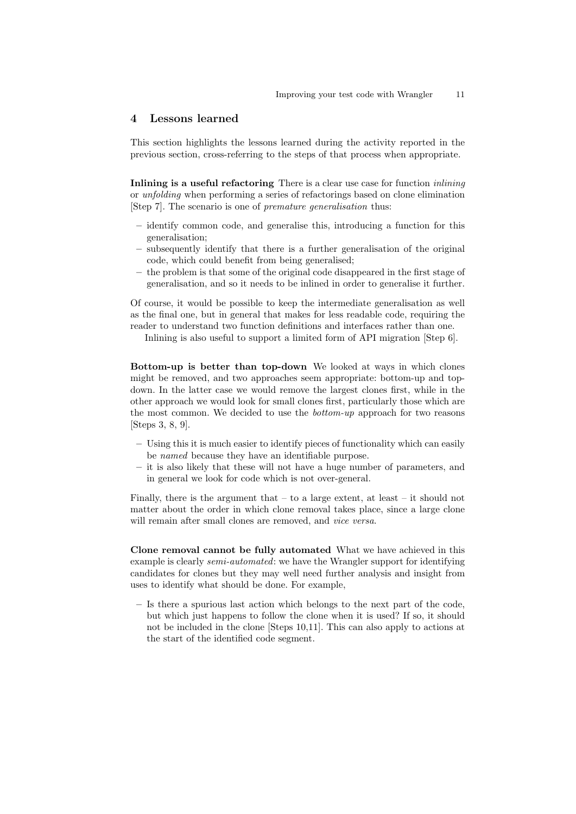#### 4 Lessons learned

This section highlights the lessons learned during the activity reported in the previous section, cross-referring to the steps of that process when appropriate.

Inlining is a useful refactoring There is a clear use case for function *inlining* or unfolding when performing a series of refactorings based on clone elimination [Step 7]. The scenario is one of premature generalisation thus:

- identify common code, and generalise this, introducing a function for this generalisation;
- subsequently identify that there is a further generalisation of the original code, which could benefit from being generalised;
- the problem is that some of the original code disappeared in the first stage of generalisation, and so it needs to be inlined in order to generalise it further.

Of course, it would be possible to keep the intermediate generalisation as well as the final one, but in general that makes for less readable code, requiring the reader to understand two function definitions and interfaces rather than one.

Inlining is also useful to support a limited form of API migration [Step 6].

Bottom-up is better than top-down We looked at ways in which clones might be removed, and two approaches seem appropriate: bottom-up and topdown. In the latter case we would remove the largest clones first, while in the other approach we would look for small clones first, particularly those which are the most common. We decided to use the bottom-up approach for two reasons [Steps 3, 8, 9].

- Using this it is much easier to identify pieces of functionality which can easily be named because they have an identifiable purpose.
- it is also likely that these will not have a huge number of parameters, and in general we look for code which is not over-general.

Finally, there is the argument that  $-$  to a large extent, at least  $-$  it should not matter about the order in which clone removal takes place, since a large clone will remain after small clones are removed, and *vice versa*.

Clone removal cannot be fully automated What we have achieved in this example is clearly *semi-automated*: we have the Wrangler support for identifying candidates for clones but they may well need further analysis and insight from uses to identify what should be done. For example,

– Is there a spurious last action which belongs to the next part of the code, but which just happens to follow the clone when it is used? If so, it should not be included in the clone [Steps 10,11]. This can also apply to actions at the start of the identified code segment.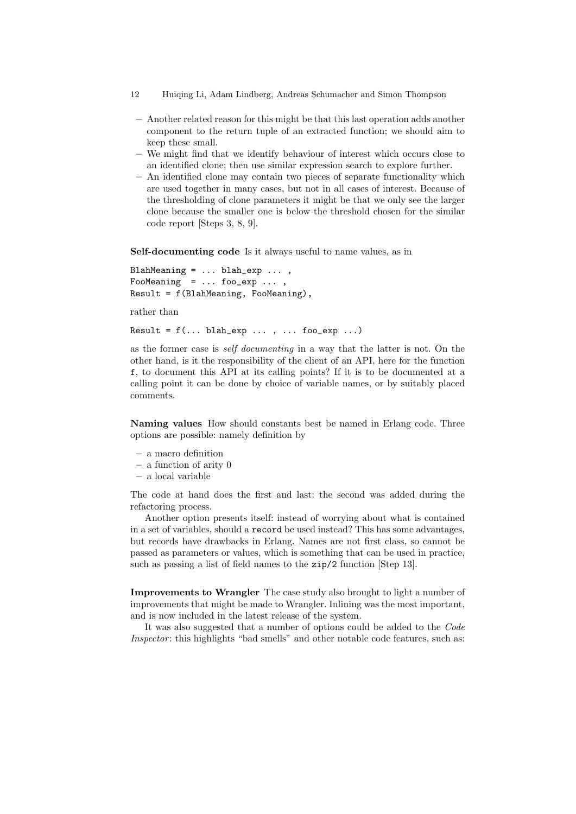- 12 Huiqing Li, Adam Lindberg, Andreas Schumacher and Simon Thompson
	- Another related reason for this might be that this last operation adds another component to the return tuple of an extracted function; we should aim to keep these small.
- We might find that we identify behaviour of interest which occurs close to an identified clone; then use similar expression search to explore further.
- An identified clone may contain two pieces of separate functionality which are used together in many cases, but not in all cases of interest. Because of the thresholding of clone parameters it might be that we only see the larger clone because the smaller one is below the threshold chosen for the similar code report [Steps 3, 8, 9].

Self-documenting code Is it always useful to name values, as in

```
BlahMeaning = \ldots blah_exp \ldots,
FooMeaning = ... foo_exp ...,
Result = f(BlahMeaning, FooMeaning),
```
rather than

Result =  $f(...$  blah\_exp  $...$  ,  $...$  foo\_exp  $...$ )

<span id="page-12-1"></span><span id="page-12-0"></span>as the former case is self documenting in a way that the latter is not. On the other hand, is it the responsibility of the client of an API, here for the function f, to document this API at its calling points? If it is to be documented at a calling point it can be done by choice of variable names, or by suitably placed comments.

<span id="page-12-4"></span><span id="page-12-3"></span><span id="page-12-2"></span>Naming values How should constants best be named in Erlang code. Three options are possible: namely definition by

- <span id="page-12-5"></span>– a macro definition
- a function of arity 0
- <span id="page-12-6"></span>– a local variable

The code at hand does the first and last: the second was added during the refactoring process.

<span id="page-12-8"></span><span id="page-12-7"></span>Another option presents itself: instead of worrying about what is contained in a set of variables, should a record be used instead? This has some advantages, but records have drawbacks in Erlang. Names are not first class, so cannot be passed as parameters or values, which is something that can be used in practice, such as passing a list of field names to the zip/2 function [Step 13].

<span id="page-12-11"></span><span id="page-12-10"></span><span id="page-12-9"></span>Improvements to Wrangler The case study also brought to light a number of improvements that might be made to Wrangler. Inlining was the most important, and is now included in the latest release of the system.

<span id="page-12-12"></span>It was also suggested that a number of options could be added to the Code Inspector: this highlights "bad smells" and other notable code features, such as: